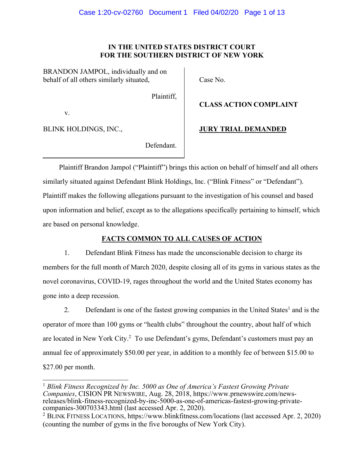## **IN THE UNITED STATES DISTRICT COURT FOR THE SOUTHERN DISTRICT OF NEW YORK**

BRANDON JAMPOL, individually and on behalf of all others similarly situated,

Case No.

Plaintiff,

v.

BLINK HOLDINGS, INC.,

**JURY TRIAL DEMANDED**

**CLASS ACTION COMPLAINT**

Defendant.

Plaintiff Brandon Jampol ("Plaintiff") brings this action on behalf of himself and all others similarly situated against Defendant Blink Holdings, Inc. ("Blink Fitness" or "Defendant"). Plaintiff makes the following allegations pursuant to the investigation of his counsel and based upon information and belief, except as to the allegations specifically pertaining to himself, which are based on personal knowledge.

# **FACTS COMMON TO ALL CAUSES OF ACTION**

1. Defendant Blink Fitness has made the unconscionable decision to charge its members for the full month of March 2020, despite closing all of its gyms in various states as the novel coronavirus, COVID-19, rages throughout the world and the United States economy has gone into a deep recession.

2. Defendant is one of the fastest growing companies in the United States<sup>1</sup> and is the operator of more than 100 gyms or "health clubs" throughout the country, about half of which are located in New York City.<sup>2</sup> To use Defendant's gyms, Defendant's customers must pay an annual fee of approximately \$50.00 per year, in addition to a monthly fee of between \$15.00 to \$27.00 per month.

<sup>1</sup> *Blink Fitness Recognized by Inc. 5000 as One of America's Fastest Growing Private Companies*, CISION PR NEWSWIRE, Aug. 28, 2018, https://www.prnewswire.com/newsreleases/blink-fitness-recognized-by-inc-5000-as-one-of-americas-fastest-growing-privatecompanies-300703343.html (last accessed Apr. 2, 2020).

<sup>2</sup> BLINK FITNESS LOCATIONS, https://www.blinkfitness.com/locations (last accessed Apr. 2, 2020) (counting the number of gyms in the five boroughs of New York City).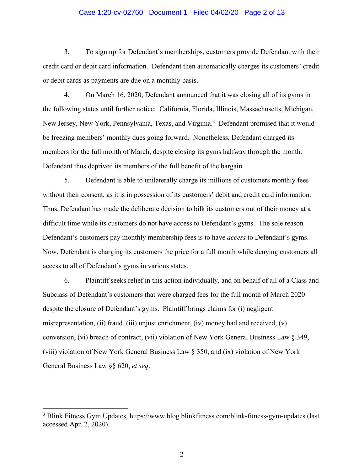### Case 1:20-cv-02760 Document 1 Filed 04/02/20 Page 2 of 13

3. To sign up for Defendant's memberships, customers provide Defendant with their credit card or debit card information. Defendant then automatically charges its customers' credit or debit cards as payments are due on a monthly basis.

4. On March 16, 2020, Defendant announced that it was closing all of its gyms in the following states until further notice: California, Florida, Illinois, Massachusetts, Michigan, New Jersey, New York, Pennsylvania, Texas, and Virginia.<sup>3</sup> Defendant promised that it would be freezing members' monthly dues going forward. Nonetheless, Defendant charged its members for the full month of March, despite closing its gyms halfway through the month. Defendant thus deprived its members of the full benefit of the bargain.

5. Defendant is able to unilaterally charge its millions of customers monthly fees without their consent, as it is in possession of its customers' debit and credit card information. Thus, Defendant has made the deliberate decision to bilk its customers out of their money at a difficult time while its customers do not have access to Defendant's gyms. The sole reason Defendant's customers pay monthly membership fees is to have *access* to Defendant's gyms. Now, Defendant is charging its customers the price for a full month while denying customers all access to all of Defendant's gyms in various states.

6. Plaintiff seeks relief in this action individually, and on behalf of all of a Class and Subclass of Defendant's customers that were charged fees for the full month of March 2020 despite the closure of Defendant's gyms. Plaintiff brings claims for (i) negligent misrepresentation, (ii) fraud, (iii) unjust enrichment, (iv) money had and received, (v) conversion, (vi) breach of contract, (vii) violation of New York General Business Law § 349, (viii) violation of New York General Business Law § 350, and (ix) violation of New York General Business Law §§ 620, *et seq*.

<sup>3</sup> Blink Fitness Gym Updates, https://www.blog.blinkfitness.com/blink-fitness-gym-updates (last accessed Apr. 2, 2020).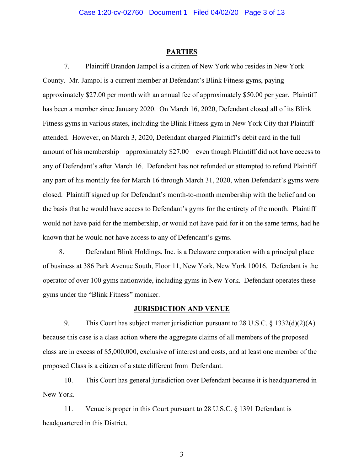### **PARTIES**

7. Plaintiff Brandon Jampol is a citizen of New York who resides in New York County. Mr. Jampol is a current member at Defendant's Blink Fitness gyms, paying approximately \$27.00 per month with an annual fee of approximately \$50.00 per year. Plaintiff has been a member since January 2020. On March 16, 2020, Defendant closed all of its Blink Fitness gyms in various states, including the Blink Fitness gym in New York City that Plaintiff attended. However, on March 3, 2020, Defendant charged Plaintiff's debit card in the full amount of his membership – approximately \$27.00 – even though Plaintiff did not have access to any of Defendant's after March 16. Defendant has not refunded or attempted to refund Plaintiff any part of his monthly fee for March 16 through March 31, 2020, when Defendant's gyms were closed. Plaintiff signed up for Defendant's month-to-month membership with the belief and on the basis that he would have access to Defendant's gyms for the entirety of the month. Plaintiff would not have paid for the membership, or would not have paid for it on the same terms, had he known that he would not have access to any of Defendant's gyms.

8. Defendant Blink Holdings, Inc. is a Delaware corporation with a principal place of business at 386 Park Avenue South, Floor 11, New York, New York 10016. Defendant is the operator of over 100 gyms nationwide, including gyms in New York. Defendant operates these gyms under the "Blink Fitness" moniker.

### **JURISDICTION AND VENUE**

9. This Court has subject matter jurisdiction pursuant to 28 U.S.C. § 1332(d)(2)(A) because this case is a class action where the aggregate claims of all members of the proposed class are in excess of \$5,000,000, exclusive of interest and costs, and at least one member of the proposed Class is a citizen of a state different from Defendant.

10. This Court has general jurisdiction over Defendant because it is headquartered in New York.

11. Venue is proper in this Court pursuant to 28 U.S.C. § 1391 Defendant is headquartered in this District.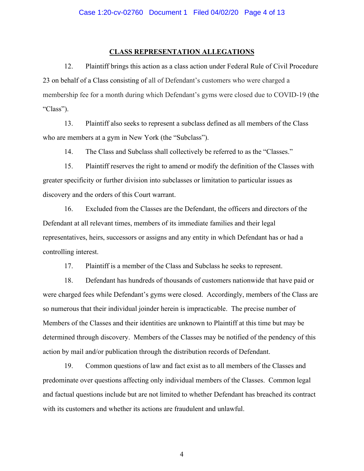### **CLASS REPRESENTATION ALLEGATIONS**

12. Plaintiff brings this action as a class action under Federal Rule of Civil Procedure 23 on behalf of a Class consisting of all of Defendant's customers who were charged a membership fee for a month during which Defendant's gyms were closed due to COVID-19 (the "Class").

13. Plaintiff also seeks to represent a subclass defined as all members of the Class who are members at a gym in New York (the "Subclass").

14. The Class and Subclass shall collectively be referred to as the "Classes."

15. Plaintiff reserves the right to amend or modify the definition of the Classes with greater specificity or further division into subclasses or limitation to particular issues as discovery and the orders of this Court warrant.

16. Excluded from the Classes are the Defendant, the officers and directors of the Defendant at all relevant times, members of its immediate families and their legal representatives, heirs, successors or assigns and any entity in which Defendant has or had a controlling interest.

17. Plaintiff is a member of the Class and Subclass he seeks to represent.

18. Defendant has hundreds of thousands of customers nationwide that have paid or were charged fees while Defendant's gyms were closed. Accordingly, members of the Class are so numerous that their individual joinder herein is impracticable. The precise number of Members of the Classes and their identities are unknown to Plaintiff at this time but may be determined through discovery. Members of the Classes may be notified of the pendency of this action by mail and/or publication through the distribution records of Defendant.

19. Common questions of law and fact exist as to all members of the Classes and predominate over questions affecting only individual members of the Classes. Common legal and factual questions include but are not limited to whether Defendant has breached its contract with its customers and whether its actions are fraudulent and unlawful.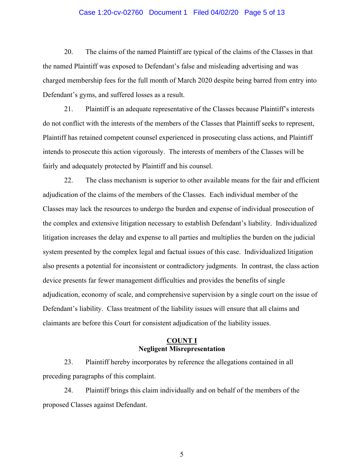### Case 1:20-cv-02760 Document 1 Filed 04/02/20 Page 5 of 13

20. The claims of the named Plaintiff are typical of the claims of the Classes in that the named Plaintiff was exposed to Defendant's false and misleading advertising and was charged membership fees for the full month of March 2020 despite being barred from entry into Defendant's gyms, and suffered losses as a result.

21. Plaintiff is an adequate representative of the Classes because Plaintiff's interests do not conflict with the interests of the members of the Classes that Plaintiff seeks to represent, Plaintiff has retained competent counsel experienced in prosecuting class actions, and Plaintiff intends to prosecute this action vigorously. The interests of members of the Classes will be fairly and adequately protected by Plaintiff and his counsel.

22. The class mechanism is superior to other available means for the fair and efficient adjudication of the claims of the members of the Classes. Each individual member of the Classes may lack the resources to undergo the burden and expense of individual prosecution of the complex and extensive litigation necessary to establish Defendant's liability. Individualized litigation increases the delay and expense to all parties and multiplies the burden on the judicial system presented by the complex legal and factual issues of this case. Individualized litigation also presents a potential for inconsistent or contradictory judgments. In contrast, the class action device presents far fewer management difficulties and provides the benefits of single adjudication, economy of scale, and comprehensive supervision by a single court on the issue of Defendant's liability. Class treatment of the liability issues will ensure that all claims and claimants are before this Court for consistent adjudication of the liability issues.

### **COUNT I Negligent Misrepresentation**

23. Plaintiff hereby incorporates by reference the allegations contained in all preceding paragraphs of this complaint.

24. Plaintiff brings this claim individually and on behalf of the members of the proposed Classes against Defendant.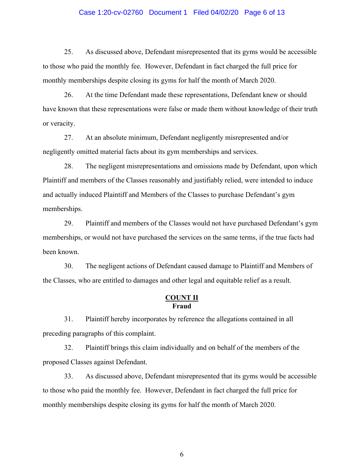### Case 1:20-cv-02760 Document 1 Filed 04/02/20 Page 6 of 13

25. As discussed above, Defendant misrepresented that its gyms would be accessible to those who paid the monthly fee. However, Defendant in fact charged the full price for monthly memberships despite closing its gyms for half the month of March 2020.

26. At the time Defendant made these representations, Defendant knew or should have known that these representations were false or made them without knowledge of their truth or veracity.

27. At an absolute minimum, Defendant negligently misrepresented and/or negligently omitted material facts about its gym memberships and services.

28. The negligent misrepresentations and omissions made by Defendant, upon which Plaintiff and members of the Classes reasonably and justifiably relied, were intended to induce and actually induced Plaintiff and Members of the Classes to purchase Defendant's gym memberships.

29. Plaintiff and members of the Classes would not have purchased Defendant's gym memberships, or would not have purchased the services on the same terms, if the true facts had been known.

30. The negligent actions of Defendant caused damage to Plaintiff and Members of the Classes, who are entitled to damages and other legal and equitable relief as a result.

### **COUNT II Fraud**

31. Plaintiff hereby incorporates by reference the allegations contained in all preceding paragraphs of this complaint.

32. Plaintiff brings this claim individually and on behalf of the members of the proposed Classes against Defendant.

33. As discussed above, Defendant misrepresented that its gyms would be accessible to those who paid the monthly fee. However, Defendant in fact charged the full price for monthly memberships despite closing its gyms for half the month of March 2020.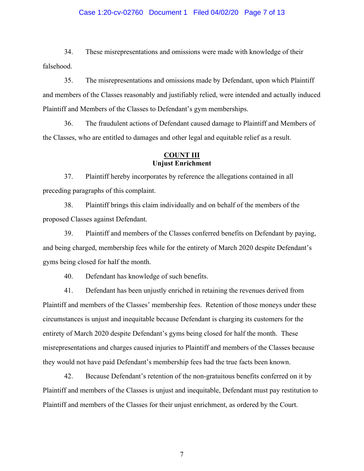### Case 1:20-cv-02760 Document 1 Filed 04/02/20 Page 7 of 13

34. These misrepresentations and omissions were made with knowledge of their falsehood.

35. The misrepresentations and omissions made by Defendant, upon which Plaintiff and members of the Classes reasonably and justifiably relied, were intended and actually induced Plaintiff and Members of the Classes to Defendant's gym memberships.

36. The fraudulent actions of Defendant caused damage to Plaintiff and Members of the Classes, who are entitled to damages and other legal and equitable relief as a result.

# **COUNT III Unjust Enrichment**

37. Plaintiff hereby incorporates by reference the allegations contained in all preceding paragraphs of this complaint.

38. Plaintiff brings this claim individually and on behalf of the members of the proposed Classes against Defendant.

39. Plaintiff and members of the Classes conferred benefits on Defendant by paying, and being charged, membership fees while for the entirety of March 2020 despite Defendant's gyms being closed for half the month.

40. Defendant has knowledge of such benefits.

41. Defendant has been unjustly enriched in retaining the revenues derived from Plaintiff and members of the Classes' membership fees. Retention of those moneys under these circumstances is unjust and inequitable because Defendant is charging its customers for the entirety of March 2020 despite Defendant's gyms being closed for half the month. These misrepresentations and charges caused injuries to Plaintiff and members of the Classes because they would not have paid Defendant's membership fees had the true facts been known.

42. Because Defendant's retention of the non-gratuitous benefits conferred on it by Plaintiff and members of the Classes is unjust and inequitable, Defendant must pay restitution to Plaintiff and members of the Classes for their unjust enrichment, as ordered by the Court.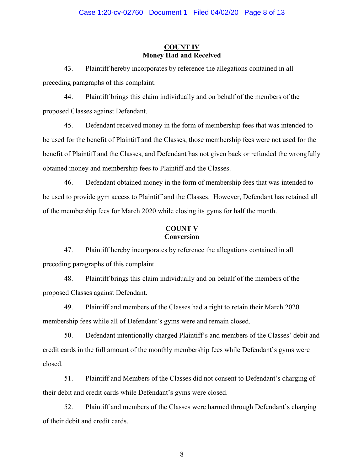### **COUNT IV Money Had and Received**

43. Plaintiff hereby incorporates by reference the allegations contained in all preceding paragraphs of this complaint.

44. Plaintiff brings this claim individually and on behalf of the members of the proposed Classes against Defendant.

45. Defendant received money in the form of membership fees that was intended to be used for the benefit of Plaintiff and the Classes, those membership fees were not used for the benefit of Plaintiff and the Classes, and Defendant has not given back or refunded the wrongfully obtained money and membership fees to Plaintiff and the Classes.

46. Defendant obtained money in the form of membership fees that was intended to be used to provide gym access to Plaintiff and the Classes. However, Defendant has retained all of the membership fees for March 2020 while closing its gyms for half the month.

### **COUNT V Conversion**

47. Plaintiff hereby incorporates by reference the allegations contained in all preceding paragraphs of this complaint.

48. Plaintiff brings this claim individually and on behalf of the members of the proposed Classes against Defendant.

49. Plaintiff and members of the Classes had a right to retain their March 2020 membership fees while all of Defendant's gyms were and remain closed.

50. Defendant intentionally charged Plaintiff's and members of the Classes' debit and credit cards in the full amount of the monthly membership fees while Defendant's gyms were closed.

51. Plaintiff and Members of the Classes did not consent to Defendant's charging of their debit and credit cards while Defendant's gyms were closed.

52. Plaintiff and members of the Classes were harmed through Defendant's charging of their debit and credit cards.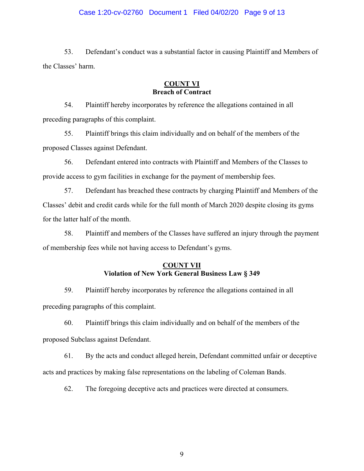### Case 1:20-cv-02760 Document 1 Filed 04/02/20 Page 9 of 13

53. Defendant's conduct was a substantial factor in causing Plaintiff and Members of the Classes' harm.

## **COUNT VI Breach of Contract**

54. Plaintiff hereby incorporates by reference the allegations contained in all preceding paragraphs of this complaint.

55. Plaintiff brings this claim individually and on behalf of the members of the proposed Classes against Defendant.

56. Defendant entered into contracts with Plaintiff and Members of the Classes to provide access to gym facilities in exchange for the payment of membership fees.

57. Defendant has breached these contracts by charging Plaintiff and Members of the Classes' debit and credit cards while for the full month of March 2020 despite closing its gyms for the latter half of the month.

58. Plaintiff and members of the Classes have suffered an injury through the payment of membership fees while not having access to Defendant's gyms.

## **COUNT VII Violation of New York General Business Law § 349**

59. Plaintiff hereby incorporates by reference the allegations contained in all preceding paragraphs of this complaint.

60. Plaintiff brings this claim individually and on behalf of the members of the proposed Subclass against Defendant.

61. By the acts and conduct alleged herein, Defendant committed unfair or deceptive acts and practices by making false representations on the labeling of Coleman Bands.

62. The foregoing deceptive acts and practices were directed at consumers.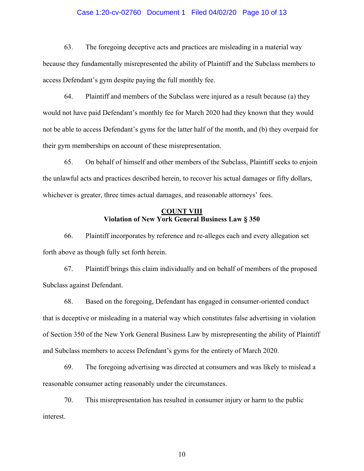### Case 1:20-cv-02760 Document 1 Filed 04/02/20 Page 10 of 13

63. The foregoing deceptive acts and practices are misleading in a material way because they fundamentally misrepresented the ability of Plaintiff and the Subclass members to access Defendant's gym despite paying the full monthly fee.

64. Plaintiff and members of the Subclass were injured as a result because (a) they would not have paid Defendant's monthly fee for March 2020 had they known that they would not be able to access Defendant's gyms for the latter half of the month, and (b) they overpaid for their gym memberships on account of these misrepresentation.

65. On behalf of himself and other members of the Subclass, Plaintiff seeks to enjoin the unlawful acts and practices described herein, to recover his actual damages or fifty dollars, whichever is greater, three times actual damages, and reasonable attorneys' fees.

### **COUNT VIII Violation of New York General Business Law § 350**

66. Plaintiff incorporates by reference and re-alleges each and every allegation set forth above as though fully set forth herein.

67. Plaintiff brings this claim individually and on behalf of members of the proposed Subclass against Defendant.

68. Based on the foregoing, Defendant has engaged in consumer-oriented conduct that is deceptive or misleading in a material way which constitutes false advertising in violation of Section 350 of the New York General Business Law by misrepresenting the ability of Plaintiff and Subclass members to access Defendant's gyms for the entirety of March 2020.

69. The foregoing advertising was directed at consumers and was likely to mislead a reasonable consumer acting reasonably under the circumstances.

70. This misrepresentation has resulted in consumer injury or harm to the public interest.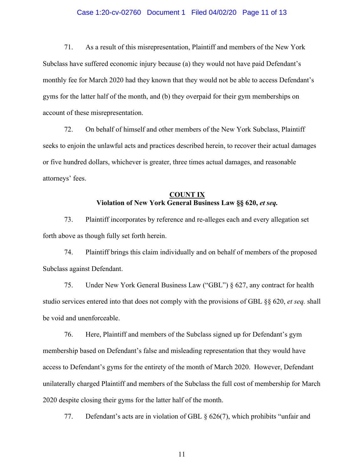### Case 1:20-cv-02760 Document 1 Filed 04/02/20 Page 11 of 13

71. As a result of this misrepresentation, Plaintiff and members of the New York Subclass have suffered economic injury because (a) they would not have paid Defendant's monthly fee for March 2020 had they known that they would not be able to access Defendant's gyms for the latter half of the month, and (b) they overpaid for their gym memberships on account of these misrepresentation.

72. On behalf of himself and other members of the New York Subclass, Plaintiff seeks to enjoin the unlawful acts and practices described herein, to recover their actual damages or five hundred dollars, whichever is greater, three times actual damages, and reasonable attorneys' fees.

## **COUNT IX Violation of New York General Business Law §§ 620,** *et seq.*

73. Plaintiff incorporates by reference and re-alleges each and every allegation set forth above as though fully set forth herein.

74. Plaintiff brings this claim individually and on behalf of members of the proposed Subclass against Defendant.

75. Under New York General Business Law ("GBL") § 627, any contract for health studio services entered into that does not comply with the provisions of GBL §§ 620, *et seq.* shall be void and unenforceable.

76. Here, Plaintiff and members of the Subclass signed up for Defendant's gym membership based on Defendant's false and misleading representation that they would have access to Defendant's gyms for the entirety of the month of March 2020. However, Defendant unilaterally charged Plaintiff and members of the Subclass the full cost of membership for March 2020 despite closing their gyms for the latter half of the month.

77. Defendant's acts are in violation of GBL § 626(7), which prohibits "unfair and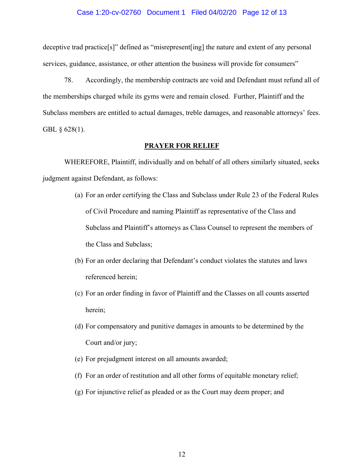### Case 1:20-cv-02760 Document 1 Filed 04/02/20 Page 12 of 13

deceptive trad practice[s]" defined as "misrepresent[ing] the nature and extent of any personal services, guidance, assistance, or other attention the business will provide for consumers"

78. Accordingly, the membership contracts are void and Defendant must refund all of the memberships charged while its gyms were and remain closed. Further, Plaintiff and the Subclass members are entitled to actual damages, treble damages, and reasonable attorneys' fees. GBL § 628(1).

#### **PRAYER FOR RELIEF**

WHEREFORE, Plaintiff, individually and on behalf of all others similarly situated, seeks judgment against Defendant, as follows:

- (a) For an order certifying the Class and Subclass under Rule 23 of the Federal Rules of Civil Procedure and naming Plaintiff as representative of the Class and Subclass and Plaintiff's attorneys as Class Counsel to represent the members of the Class and Subclass;
- (b) For an order declaring that Defendant's conduct violates the statutes and laws referenced herein;
- (c) For an order finding in favor of Plaintiff and the Classes on all counts asserted herein;
- (d) For compensatory and punitive damages in amounts to be determined by the Court and/or jury;
- (e) For prejudgment interest on all amounts awarded;
- (f) For an order of restitution and all other forms of equitable monetary relief;
- (g) For injunctive relief as pleaded or as the Court may deem proper; and